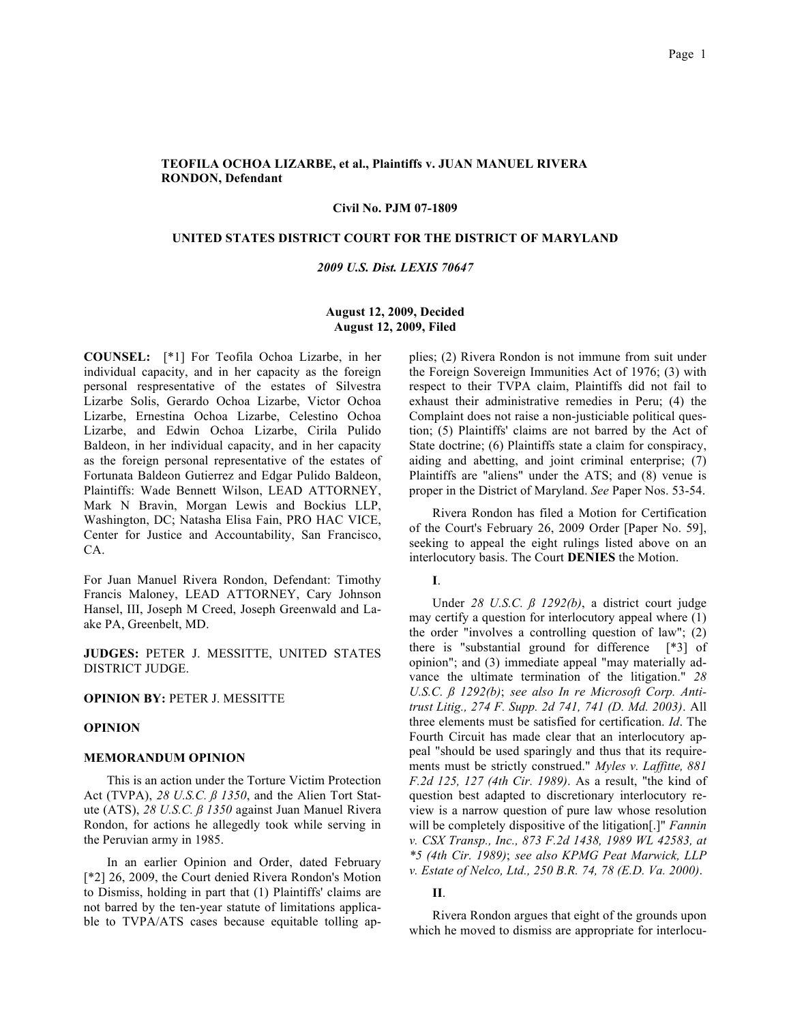# **TEOFILA OCHOA LIZARBE, et al., Plaintiffs v. JUAN MANUEL RIVERA RONDON, Defendant**

### **Civil No. PJM 07-1809**

## **UNITED STATES DISTRICT COURT FOR THE DISTRICT OF MARYLAND**

### *2009 U.S. Dist. LEXIS 70647*

## **August 12, 2009, Decided August 12, 2009, Filed**

**COUNSEL:** [\*1] For Teofila Ochoa Lizarbe, in her individual capacity, and in her capacity as the foreign personal respresentative of the estates of Silvestra Lizarbe Solis, Gerardo Ochoa Lizarbe, Victor Ochoa Lizarbe, Ernestina Ochoa Lizarbe, Celestino Ochoa Lizarbe, and Edwin Ochoa Lizarbe, Cirila Pulido Baldeon, in her individual capacity, and in her capacity as the foreign personal representative of the estates of Fortunata Baldeon Gutierrez and Edgar Pulido Baldeon, Plaintiffs: Wade Bennett Wilson, LEAD ATTORNEY, Mark N Bravin, Morgan Lewis and Bockius LLP, Washington, DC; Natasha Elisa Fain, PRO HAC VICE, Center for Justice and Accountability, San Francisco, CA.

For Juan Manuel Rivera Rondon, Defendant: Timothy Francis Maloney, LEAD ATTORNEY, Cary Johnson Hansel, III, Joseph M Creed, Joseph Greenwald and Laake PA, Greenbelt, MD.

**JUDGES:** PETER J. MESSITTE, UNITED STATES DISTRICT JUDGE.

# **OPINION BY: PETER J. MESSITTE**

### **OPINION**

### **MEMORANDUM OPINION**

This is an action under the Torture Victim Protection Act (TVPA), *28 U.S.C. ß 1350*, and the Alien Tort Statute (ATS), *28 U.S.C. ß 1350* against Juan Manuel Rivera Rondon, for actions he allegedly took while serving in the Peruvian army in 1985.

In an earlier Opinion and Order, dated February [\*2] 26, 2009, the Court denied Rivera Rondon's Motion to Dismiss, holding in part that (1) Plaintiffs' claims are not barred by the ten-year statute of limitations applicable to TVPA/ATS cases because equitable tolling applies; (2) Rivera Rondon is not immune from suit under the Foreign Sovereign Immunities Act of 1976; (3) with respect to their TVPA claim, Plaintiffs did not fail to exhaust their administrative remedies in Peru; (4) the Complaint does not raise a non-justiciable political question; (5) Plaintiffs' claims are not barred by the Act of State doctrine; (6) Plaintiffs state a claim for conspiracy, aiding and abetting, and joint criminal enterprise; (7) Plaintiffs are "aliens" under the ATS; and (8) venue is proper in the District of Maryland. *See* Paper Nos. 53-54.

Rivera Rondon has filed a Motion for Certification of the Court's February 26, 2009 Order [Paper No. 59], seeking to appeal the eight rulings listed above on an interlocutory basis. The Court **DENIES** the Motion.

**I**.

Under *28 U.S.C. ß 1292(b)*, a district court judge may certify a question for interlocutory appeal where (1) the order "involves a controlling question of law"; (2) there is "substantial ground for difference [\*3] of opinion"; and (3) immediate appeal "may materially advance the ultimate termination of the litigation." *28 U.S.C. ß 1292(b)*; *see also In re Microsoft Corp. Antitrust Litig., 274 F. Supp. 2d 741, 741 (D. Md. 2003)*. All three elements must be satisfied for certification. *Id*. The Fourth Circuit has made clear that an interlocutory appeal "should be used sparingly and thus that its requirements must be strictly construed." *Myles v. Laffitte, 881 F.2d 125, 127 (4th Cir. 1989)*. As a result, "the kind of question best adapted to discretionary interlocutory review is a narrow question of pure law whose resolution will be completely dispositive of the litigation[.]" *Fannin v. CSX Transp., Inc., 873 F.2d 1438, 1989 WL 42583, at \*5 (4th Cir. 1989)*; *see also KPMG Peat Marwick, LLP v. Estate of Nelco, Ltd., 250 B.R. 74, 78 (E.D. Va. 2000)*.

# **II**.

Rivera Rondon argues that eight of the grounds upon which he moved to dismiss are appropriate for interlocu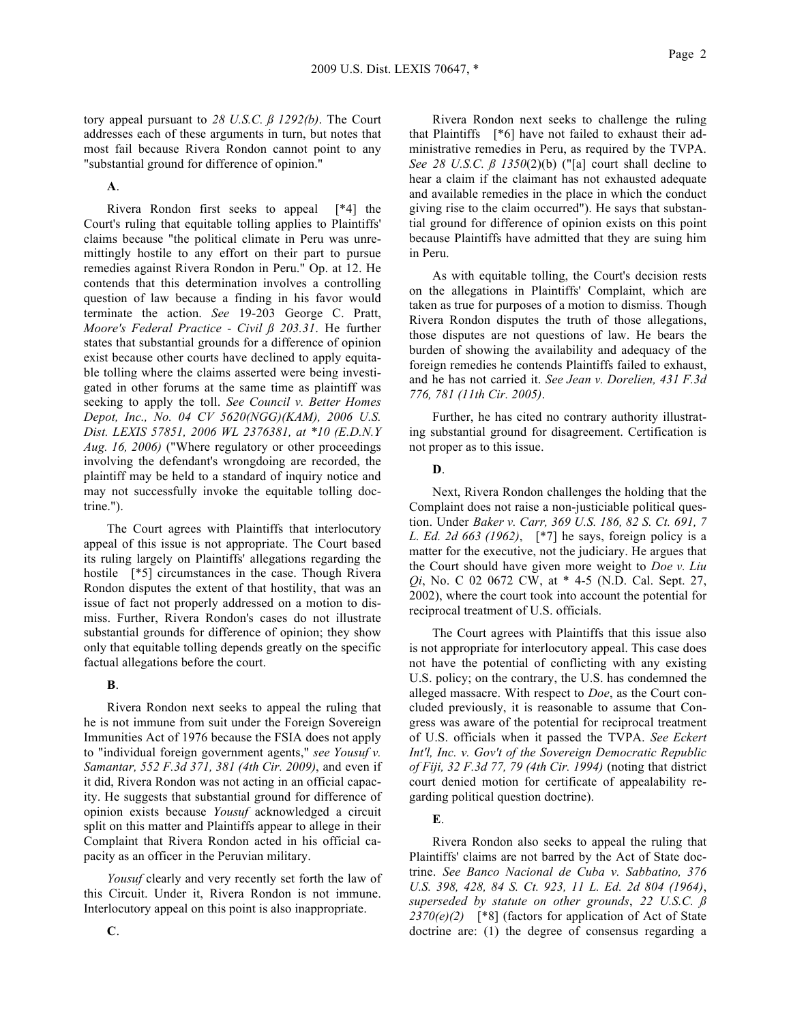tory appeal pursuant to *28 U.S.C. ß 1292(b)*. The Court addresses each of these arguments in turn, but notes that most fail because Rivera Rondon cannot point to any "substantial ground for difference of opinion."

**A**.

Rivera Rondon first seeks to appeal [\*4] the Court's ruling that equitable tolling applies to Plaintiffs' claims because "the political climate in Peru was unremittingly hostile to any effort on their part to pursue remedies against Rivera Rondon in Peru." Op. at 12. He contends that this determination involves a controlling question of law because a finding in his favor would terminate the action. *See* 19-203 George C. Pratt, *Moore's Federal Practice - Civil ß 203.31*. He further states that substantial grounds for a difference of opinion exist because other courts have declined to apply equitable tolling where the claims asserted were being investigated in other forums at the same time as plaintiff was seeking to apply the toll. *See Council v. Better Homes Depot, Inc., No. 04 CV 5620(NGG)(KAM), 2006 U.S. Dist. LEXIS 57851, 2006 WL 2376381, at \*10 (E.D.N.Y Aug. 16, 2006)* ("Where regulatory or other proceedings involving the defendant's wrongdoing are recorded, the plaintiff may be held to a standard of inquiry notice and may not successfully invoke the equitable tolling doctrine.").

The Court agrees with Plaintiffs that interlocutory appeal of this issue is not appropriate. The Court based its ruling largely on Plaintiffs' allegations regarding the hostile [\*5] circumstances in the case. Though Rivera Rondon disputes the extent of that hostility, that was an issue of fact not properly addressed on a motion to dismiss. Further, Rivera Rondon's cases do not illustrate substantial grounds for difference of opinion; they show only that equitable tolling depends greatly on the specific factual allegations before the court.

# **B**.

Rivera Rondon next seeks to appeal the ruling that he is not immune from suit under the Foreign Sovereign Immunities Act of 1976 because the FSIA does not apply to "individual foreign government agents," *see Yousuf v. Samantar, 552 F.3d 371, 381 (4th Cir. 2009)*, and even if it did, Rivera Rondon was not acting in an official capacity. He suggests that substantial ground for difference of opinion exists because *Yousuf* acknowledged a circuit split on this matter and Plaintiffs appear to allege in their Complaint that Rivera Rondon acted in his official capacity as an officer in the Peruvian military.

*Yousuf* clearly and very recently set forth the law of this Circuit. Under it, Rivera Rondon is not immune. Interlocutory appeal on this point is also inappropriate.

Rivera Rondon next seeks to challenge the ruling that Plaintiffs [\*6] have not failed to exhaust their administrative remedies in Peru, as required by the TVPA. *See 28 U.S.C. ß 1350*(2)(b) ("[a] court shall decline to hear a claim if the claimant has not exhausted adequate and available remedies in the place in which the conduct giving rise to the claim occurred"). He says that substantial ground for difference of opinion exists on this point because Plaintiffs have admitted that they are suing him in Peru.

As with equitable tolling, the Court's decision rests on the allegations in Plaintiffs' Complaint, which are taken as true for purposes of a motion to dismiss. Though Rivera Rondon disputes the truth of those allegations, those disputes are not questions of law. He bears the burden of showing the availability and adequacy of the foreign remedies he contends Plaintiffs failed to exhaust, and he has not carried it. *See Jean v. Dorelien, 431 F.3d 776, 781 (11th Cir. 2005)*.

Further, he has cited no contrary authority illustrating substantial ground for disagreement. Certification is not proper as to this issue.

## **D**.

Next, Rivera Rondon challenges the holding that the Complaint does not raise a non-justiciable political question. Under *Baker v. Carr, 369 U.S. 186, 82 S. Ct. 691, 7 L. Ed. 2d 663 (1962)*, [\*7] he says, foreign policy is a matter for the executive, not the judiciary. He argues that the Court should have given more weight to *Doe v. Liu Qi*, No. C 02 0672 CW, at \* 4-5 (N.D. Cal. Sept. 27, 2002), where the court took into account the potential for reciprocal treatment of U.S. officials.

The Court agrees with Plaintiffs that this issue also is not appropriate for interlocutory appeal. This case does not have the potential of conflicting with any existing U.S. policy; on the contrary, the U.S. has condemned the alleged massacre. With respect to *Doe*, as the Court concluded previously, it is reasonable to assume that Congress was aware of the potential for reciprocal treatment of U.S. officials when it passed the TVPA. *See Eckert Int'l, Inc. v. Gov't of the Sovereign Democratic Republic of Fiji, 32 F.3d 77, 79 (4th Cir. 1994)* (noting that district court denied motion for certificate of appealability regarding political question doctrine).

# **E**.

Rivera Rondon also seeks to appeal the ruling that Plaintiffs' claims are not barred by the Act of State doctrine. *See Banco Nacional de Cuba v. Sabbatino, 376 U.S. 398, 428, 84 S. Ct. 923, 11 L. Ed. 2d 804 (1964)*, *superseded by statute on other grounds*, *22 U.S.C. ß 2370(e)(2)* [\*8] (factors for application of Act of State doctrine are: (1) the degree of consensus regarding a